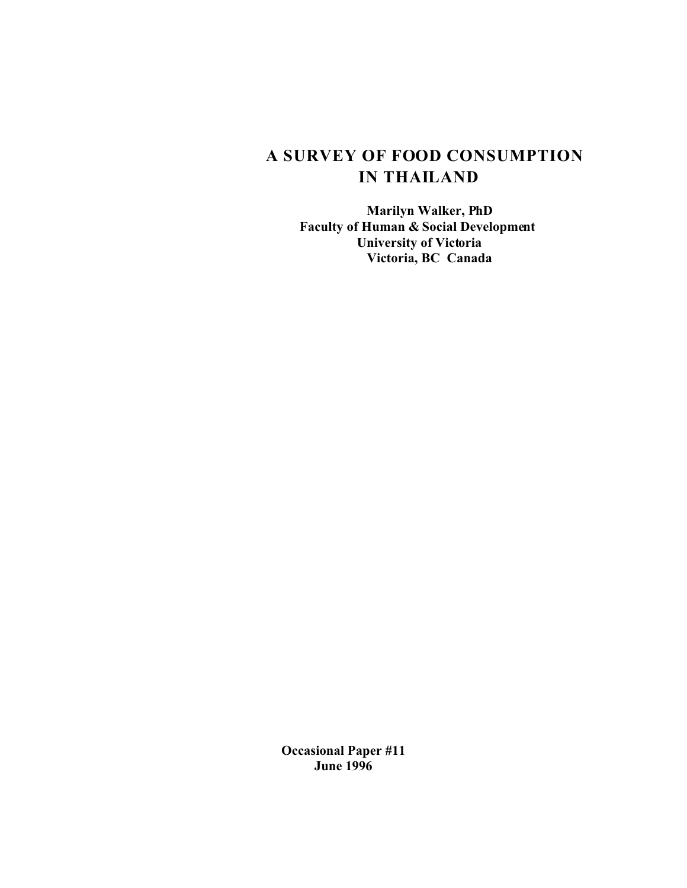# **A SURVEY OF FOOD CONSUMPTION IN THAILAND**

 **Marilyn Walker, PhD Faculty of Human & Social Development University of Victoria Victoria, BC Canada**

**Occasional Paper #11 June 1996**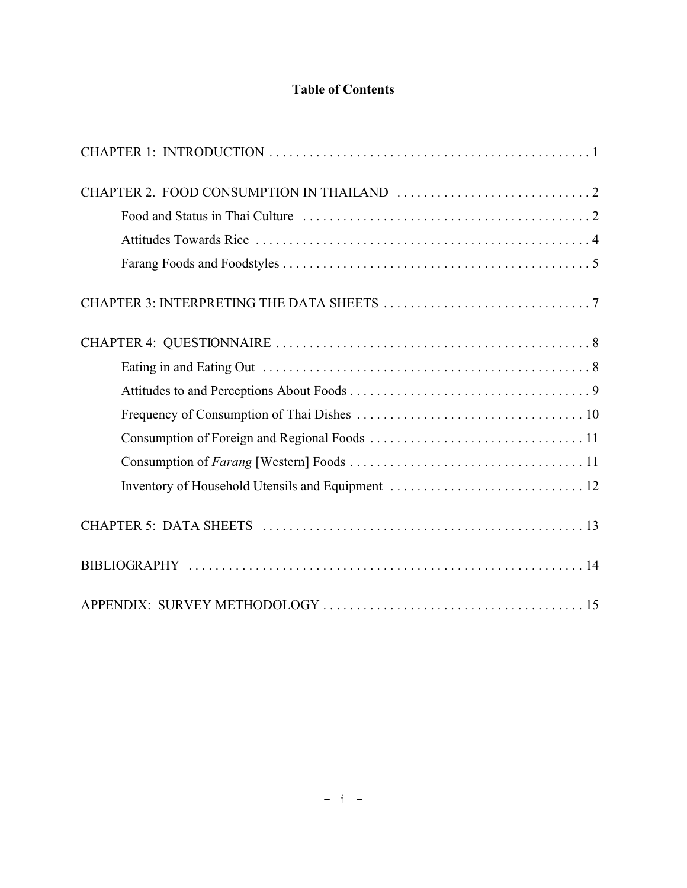# **Table of Contents**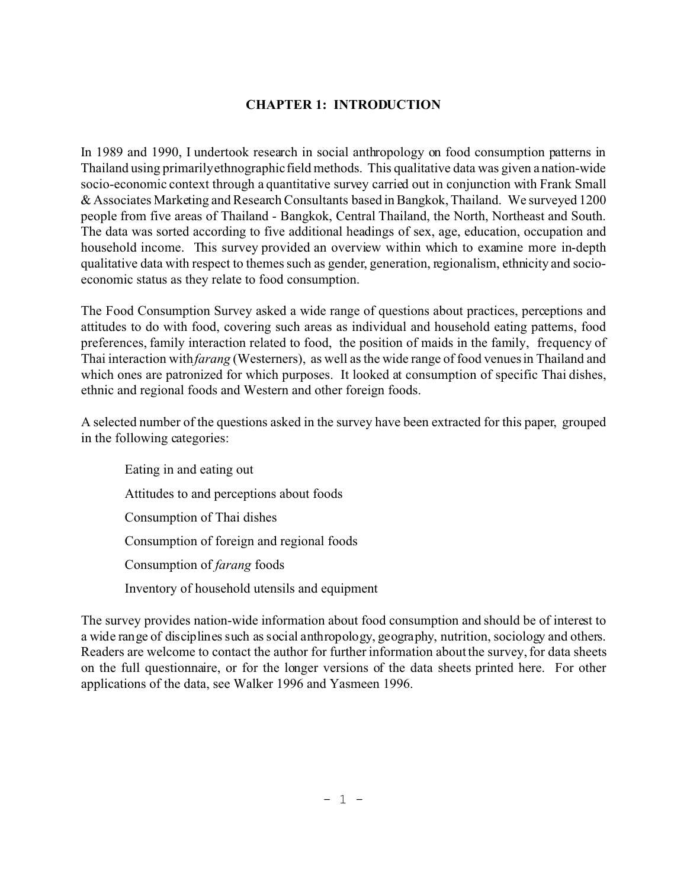## **CHAPTER 1: INTRODUCTION**

In 1989 and 1990, I undertook research in social anthropology on food consumption patterns in Thailand using primarily ethnographic field methods. This qualitative data was given a nation-wide socio-economic context through a quantitative survey carried out in conjunction with Frank Small & Associates Marketing and Research Consultants based in Bangkok, Thailand. We surveyed 1200 people from five areas of Thailand - Bangkok, Central Thailand, the North, Northeast and South. The data was sorted according to five additional headings of sex, age, education, occupation and household income. This survey provided an overview within which to examine more in-depth qualitative data with respect to themes such as gender, generation, regionalism, ethnicity and socioeconomic status as they relate to food consumption.

The Food Consumption Survey asked a wide range of questions about practices, perceptions and attitudes to do with food, covering such areas as individual and household eating patterns, food preferences, family interaction related to food, the position of maids in the family, frequency of Thai interaction with*farang* (Westerners), as well as the wide range of food venues in Thailand and which ones are patronized for which purposes. It looked at consumption of specific Thai dishes, ethnic and regional foods and Western and other foreign foods.

A selected number of the questions asked in the survey have been extracted for this paper, grouped in the following categories:

 Eating in and eating out Attitudes to and perceptions about foods Consumption of Thai dishes Consumption of foreign and regional foods Consumption of *farang* foods

Inventory of household utensils and equipment

The survey provides nation-wide information about food consumption and should be of interest to a wide range of disciplines such as social anthropology, geography, nutrition, sociology and others. Readers are welcome to contact the author for further information about the survey, for data sheets on the full questionnaire, or for the longer versions of the data sheets printed here. For other applications of the data, see Walker 1996 and Yasmeen 1996.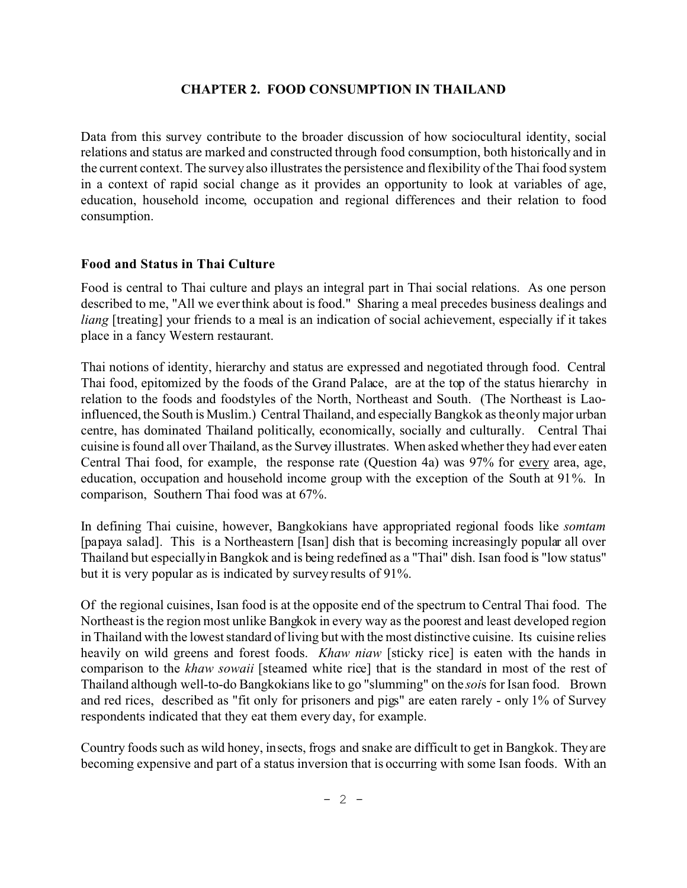## **CHAPTER 2. FOOD CONSUMPTION IN THAILAND**

Data from this survey contribute to the broader discussion of how sociocultural identity, social relations and status are marked and constructed through food consumption, both historically and in the current context. The survey also illustrates the persistence and flexibility of the Thai food system in a context of rapid social change as it provides an opportunity to look at variables of age, education, household income, occupation and regional differences and their relation to food consumption.

### **Food and Status in Thai Culture**

Food is central to Thai culture and plays an integral part in Thai social relations. As one person described to me, "All we ever think about is food." Sharing a meal precedes business dealings and *liang* [treating] your friends to a meal is an indication of social achievement, especially if it takes place in a fancy Western restaurant.

Thai notions of identity, hierarchy and status are expressed and negotiated through food. Central Thai food, epitomized by the foods of the Grand Palace, are at the top of the status hierarchy in relation to the foods and foodstyles of the North, Northeast and South. (The Northeast is Laoinfluenced, the South is Muslim.) Central Thailand, and especially Bangkok as the only major urban centre, has dominated Thailand politically, economically, socially and culturally. Central Thai cuisine is found all over Thailand, as the Survey illustrates. When asked whether they had ever eaten Central Thai food, for example, the response rate (Question 4a) was 97% for every area, age, education, occupation and household income group with the exception of the South at 91%. In comparison, Southern Thai food was at 67%.

In defining Thai cuisine, however, Bangkokians have appropriated regional foods like *somtam* [papaya salad]. This is a Northeastern [Isan] dish that is becoming increasingly popular all over Thailand but especially in Bangkok and is being redefined as a "Thai" dish. Isan food is "low status" but it is very popular as is indicated by survey results of 91%.

Of the regional cuisines, Isan food is at the opposite end of the spectrum to Central Thai food. The Northeast is the region most unlike Bangkok in every way as the poorest and least developed region in Thailand with the lowest standard of living but with the most distinctive cuisine. Its cuisine relies heavily on wild greens and forest foods. *Khaw niaw* [sticky rice] is eaten with the hands in comparison to the *khaw sowaii* [steamed white rice] that is the standard in most of the rest of Thailand although well-to-do Bangkokians like to go "slumming" on the *soi*s for Isan food. Brown and red rices, described as "fit only for prisoners and pigs" are eaten rarely - only 1% of Survey respondents indicated that they eat them every day, for example.

Country foods such as wild honey, insects, frogs and snake are difficult to get in Bangkok. They are becoming expensive and part of a status inversion that is occurring with some Isan foods. With an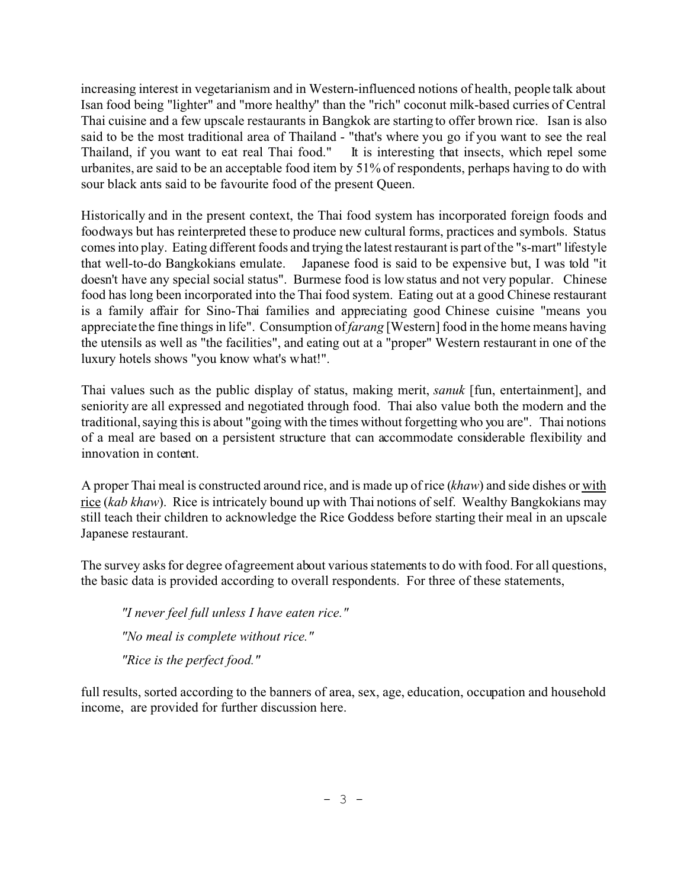increasing interest in vegetarianism and in Western-influenced notions of health, people talk about Isan food being "lighter" and "more healthy" than the "rich" coconut milk-based curries of Central Thai cuisine and a few upscale restaurants in Bangkok are starting to offer brown rice. Isan is also said to be the most traditional area of Thailand - "that's where you go if you want to see the real Thailand, if you want to eat real Thai food." It is interesting that insects, which repel some urbanites, are said to be an acceptable food item by 51% of respondents, perhaps having to do with sour black ants said to be favourite food of the present Queen.

Historically and in the present context, the Thai food system has incorporated foreign foods and foodways but has reinterpreted these to produce new cultural forms, practices and symbols. Status comes into play. Eating different foods and trying the latest restaurant is part of the "s-mart" lifestyle that well-to-do Bangkokians emulate. Japanese food is said to be expensive but, I was told "it doesn't have any special social status". Burmese food is low status and not very popular. Chinese food has long been incorporated into the Thai food system. Eating out at a good Chinese restaurant is a family affair for Sino-Thai families and appreciating good Chinese cuisine "means you appreciate the fine things in life". Consumption of *farang* [Western] food in the home means having the utensils as well as "the facilities", and eating out at a "proper" Western restaurant in one of the luxury hotels shows "you know what's what!".

Thai values such as the public display of status, making merit, *sanuk* [fun, entertainment], and seniority are all expressed and negotiated through food. Thai also value both the modern and the traditional, saying this is about "going with the times without forgetting who you are". Thai notions of a meal are based on a persistent structure that can accommodate considerable flexibility and innovation in content.

A proper Thai meal is constructed around rice, and is made up of rice (*khaw*) and side dishes or with rice (*kab khaw*). Rice is intricately bound up with Thai notions of self. Wealthy Bangkokians may still teach their children to acknowledge the Rice Goddess before starting their meal in an upscale Japanese restaurant.

The survey asks for degree of agreement about various statements to do with food. For all questions, the basic data is provided according to overall respondents. For three of these statements,

*"I never feel full unless I have eaten rice." "No meal is complete without rice." "Rice is the perfect food."*

full results, sorted according to the banners of area, sex, age, education, occupation and household income, are provided for further discussion here.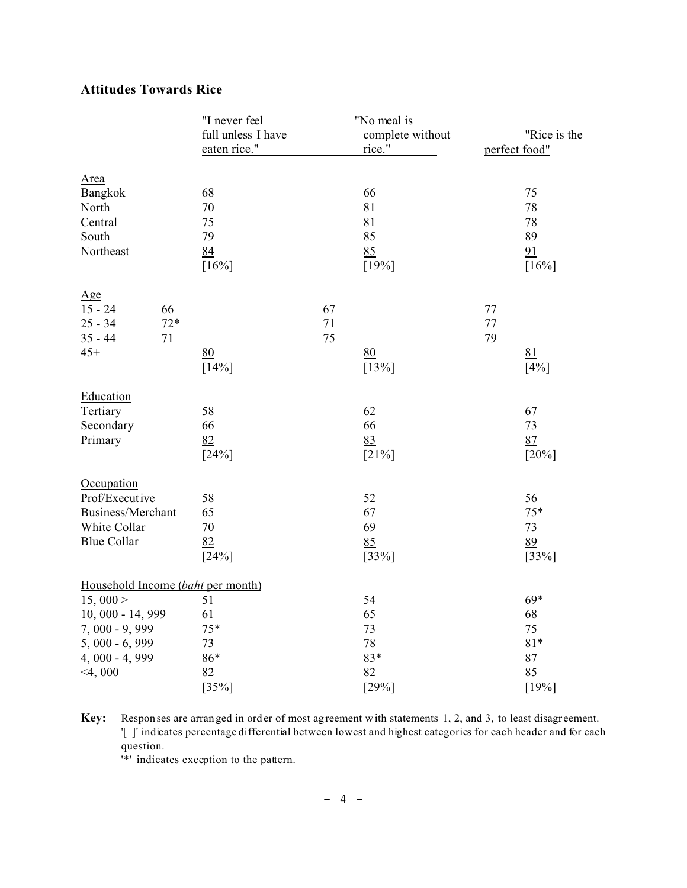# **Attitudes Towards Rice**

|                    |       | "I never feel<br>full unless I have |    | "No meal is<br>complete without |         | "Rice is the  |
|--------------------|-------|-------------------------------------|----|---------------------------------|---------|---------------|
|                    |       | eaten rice."                        |    | rice."                          |         | perfect food" |
| Area               |       |                                     |    |                                 |         |               |
| Bangkok            |       | 68                                  |    | 66                              |         | 75            |
| North              |       | 70                                  |    | 81                              |         | 78            |
| Central            |       | 75                                  |    | 81                              |         | 78            |
| South              |       | 79                                  |    | 85                              |         | 89            |
| Northeast          |       | 84                                  |    | 85                              |         | 91            |
|                    |       | $[16\%]$                            |    | [19%]                           |         | [16%]         |
| Age                |       |                                     |    |                                 |         |               |
| $15 - 24$          | 66    |                                     | 67 |                                 | 77      |               |
| $25 - 34$          | $72*$ |                                     | 71 |                                 | $77 \,$ |               |
| $35 - 44$          | 71    |                                     | 75 |                                 | 79      |               |
| $45+$              |       | 80                                  |    | 80                              |         | 81            |
|                    |       | $[14\%]$                            |    | [13%]                           |         | $[4\%]$       |
| Education          |       |                                     |    |                                 |         |               |
| Tertiary           |       | 58                                  |    | 62                              |         | 67            |
| Secondary          |       | 66                                  |    | 66                              |         | 73            |
| Primary            |       | 82                                  |    | 83                              |         | 87            |
|                    |       | $[24\%]$                            |    | $[21\%]$                        |         | [20%]         |
| Occupation         |       |                                     |    |                                 |         |               |
| Prof/Executive     |       | 58                                  |    | 52                              |         | 56            |
| Business/Merchant  |       | 65                                  |    | 67                              |         | $75*$         |
| White Collar       |       | 70                                  |    | 69                              |         | 73            |
| <b>Blue Collar</b> |       | 82                                  |    | 85                              |         | 89            |
|                    |       | [24%]                               |    | [33%]                           |         | [33%]         |
|                    |       | Household Income (baht per month)   |    |                                 |         |               |
| 15,000 >           |       | 51                                  |    | 54                              |         | $69*$         |
| 10, 000 - 14, 999  |       | 61                                  |    | 65                              |         | 68            |
| 7,000 - 9,999      |       | $75*$                               |    | 73                              |         | 75            |
| 5, 000 - 6, 999    |       | 73                                  |    | 78                              |         | $81*$         |
| 4, 000 - 4, 999    |       | 86*                                 |    | 83*                             |         | 87            |
| $<$ 4, 000         |       | 82                                  |    | 82                              |         | 85            |
|                    |       | [35%]                               |    | [29%]                           |         | [19%]         |

**Key:** Responses are arranged in order of most agreement with statements 1, 2, and 3, to least disagreement. '[ ]' indicates percentage differential between lowest and highest categories for each header and for each question.

'\*' indicates exception to the pattern.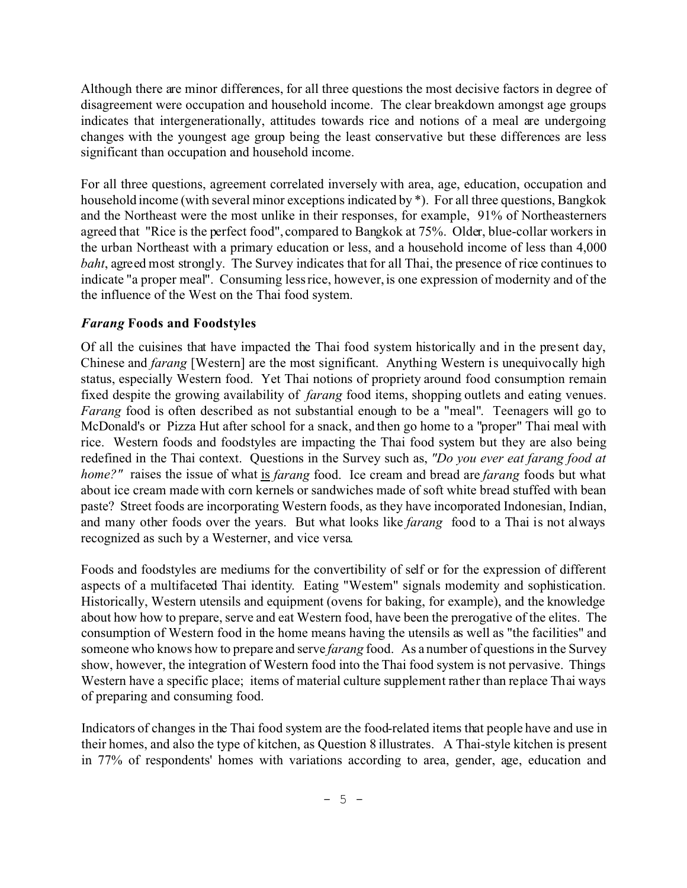Although there are minor differences, for all three questions the most decisive factors in degree of disagreement were occupation and household income. The clear breakdown amongst age groups indicates that intergenerationally, attitudes towards rice and notions of a meal are undergoing changes with the youngest age group being the least conservative but these differences are less significant than occupation and household income.

For all three questions, agreement correlated inversely with area, age, education, occupation and household income (with several minor exceptions indicated by \*). For all three questions, Bangkok and the Northeast were the most unlike in their responses, for example, 91% of Northeasterners agreed that "Rice is the perfect food", compared to Bangkok at 75%. Older, blue-collar workers in the urban Northeast with a primary education or less, and a household income of less than 4,000 *baht*, agreed most strongly. The Survey indicates that for all Thai, the presence of rice continues to indicate "a proper meal". Consuming less rice, however, is one expression of modernity and of the the influence of the West on the Thai food system.

## *Farang* **Foods and Foodstyles**

Of all the cuisines that have impacted the Thai food system historically and in the present day, Chinese and *farang* [Western] are the most significant. Anything Western is unequivocally high status, especially Western food. Yet Thai notions of propriety around food consumption remain fixed despite the growing availability of *farang* food items, shopping outlets and eating venues. *Farang* food is often described as not substantial enough to be a "meal". Teenagers will go to McDonald's or Pizza Hut after school for a snack, and then go home to a "proper" Thai meal with rice. Western foods and foodstyles are impacting the Thai food system but they are also being redefined in the Thai context. Questions in the Survey such as, *"Do you ever eat farang food at home?"* raises the issue of what is *farang* food. Ice cream and bread are *farang* foods but what about ice cream made with corn kernels or sandwiches made of soft white bread stuffed with bean paste? Street foods are incorporating Western foods, as they have incorporated Indonesian, Indian, and many other foods over the years. But what looks like *farang* food to a Thai is not always recognized as such by a Westerner, and vice versa.

Foods and foodstyles are mediums for the convertibility of self or for the expression of different aspects of a multifaceted Thai identity. Eating "Western" signals modernity and sophistication. Historically, Western utensils and equipment (ovens for baking, for example), and the knowledge about how how to prepare, serve and eat Western food, have been the prerogative of the elites. The consumption of Western food in the home means having the utensils as well as "the facilities" and someone who knows how to prepare and serve *farang* food. As a number of questions in the Survey show, however, the integration of Western food into the Thai food system is not pervasive. Things Western have a specific place; items of material culture supplement rather than replace Thai ways of preparing and consuming food.

Indicators of changes in the Thai food system are the food-related items that people have and use in their homes, and also the type of kitchen, as Question 8 illustrates. A Thai-style kitchen is present in 77% of respondents' homes with variations according to area, gender, age, education and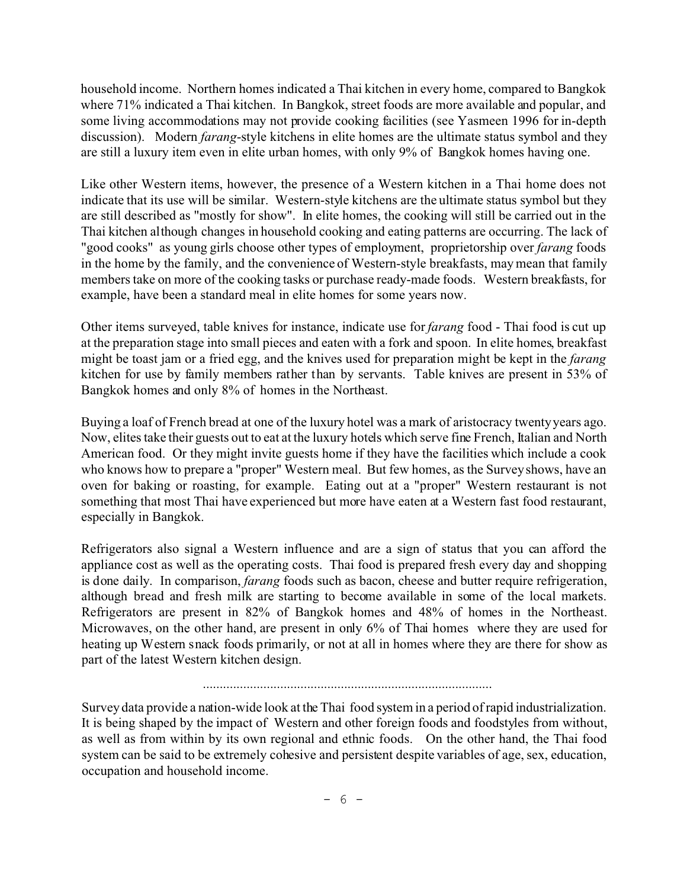household income. Northern homes indicated a Thai kitchen in every home, compared to Bangkok where 71% indicated a Thai kitchen. In Bangkok, street foods are more available and popular, and some living accommodations may not provide cooking facilities (see Yasmeen 1996 for in-depth discussion). Modern *farang*-style kitchens in elite homes are the ultimate status symbol and they are still a luxury item even in elite urban homes, with only 9% of Bangkok homes having one.

Like other Western items, however, the presence of a Western kitchen in a Thai home does not indicate that its use will be similar. Western-style kitchens are the ultimate status symbol but they are still described as "mostly for show". In elite homes, the cooking will still be carried out in the Thai kitchen although changes in household cooking and eating patterns are occurring. The lack of "good cooks" as young girls choose other types of employment, proprietorship over *farang* foods in the home by the family, and the convenience of Western-style breakfasts, may mean that family members take on more of the cooking tasks or purchase ready-made foods. Western breakfasts, for example, have been a standard meal in elite homes for some years now.

Other items surveyed, table knives for instance, indicate use for *farang* food - Thai food is cut up at the preparation stage into small pieces and eaten with a fork and spoon. In elite homes, breakfast might be toast jam or a fried egg, and the knives used for preparation might be kept in the *farang* kitchen for use by family members rather than by servants. Table knives are present in 53% of Bangkok homes and only 8% of homes in the Northeast.

Buying a loaf of French bread at one of the luxury hotel was a mark of aristocracy twenty years ago. Now, elites take their guests out to eat at the luxury hotels which serve fine French, Italian and North American food. Or they might invite guests home if they have the facilities which include a cook who knows how to prepare a "proper" Western meal. But few homes, as the Survey shows, have an oven for baking or roasting, for example. Eating out at a "proper" Western restaurant is not something that most Thai have experienced but more have eaten at a Western fast food restaurant, especially in Bangkok.

Refrigerators also signal a Western influence and are a sign of status that you can afford the appliance cost as well as the operating costs. Thai food is prepared fresh every day and shopping is done daily. In comparison, *farang* foods such as bacon, cheese and butter require refrigeration, although bread and fresh milk are starting to become available in some of the local markets. Refrigerators are present in 82% of Bangkok homes and 48% of homes in the Northeast. Microwaves, on the other hand, are present in only 6% of Thai homes where they are used for heating up Western snack foods primarily, or not at all in homes where they are there for show as part of the latest Western kitchen design.

Survey data provide a nation-wide look at the Thai food system in a period of rapid industrialization. It is being shaped by the impact of Western and other foreign foods and foodstyles from without, as well as from within by its own regional and ethnic foods. On the other hand, the Thai food system can be said to be extremely cohesive and persistent despite variables of age, sex, education, occupation and household income.

......................................................................................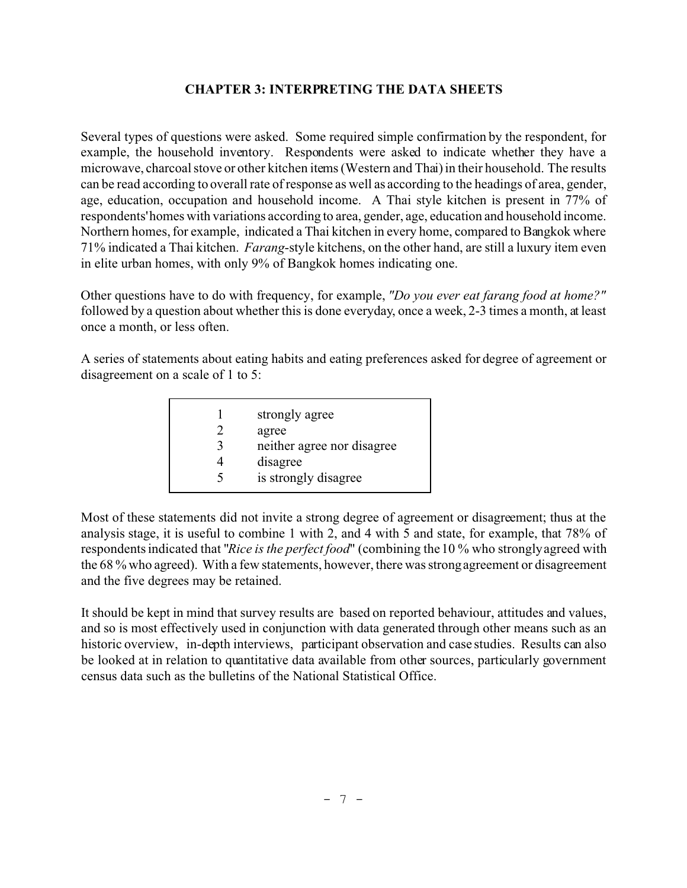## **CHAPTER 3: INTERPRETING THE DATA SHEETS**

Several types of questions were asked. Some required simple confirmation by the respondent, for example, the household inventory. Respondents were asked to indicate whether they have a microwave, charcoal stove or other kitchen items (Western and Thai) in their household. The results can be read according to overall rate of response as well as according to the headings of area, gender, age, education, occupation and household income. A Thai style kitchen is present in 77% of respondents' homes with variations according to area, gender, age, education and household income. Northern homes, for example, indicated a Thai kitchen in every home, compared to Bangkok where 71% indicated a Thai kitchen. *Farang*-style kitchens, on the other hand, are still a luxury item even in elite urban homes, with only 9% of Bangkok homes indicating one.

Other questions have to do with frequency, for example, *"Do you ever eat farang food at home?"* followed by a question about whether this is done everyday, once a week, 2-3 times a month, at least once a month, or less often.

A series of statements about eating habits and eating preferences asked for degree of agreement or disagreement on a scale of 1 to 5:

| strongly agree<br>agree<br>3<br>neither agree nor disagree<br>disagree<br>is strongly disagree |  |  |
|------------------------------------------------------------------------------------------------|--|--|
|------------------------------------------------------------------------------------------------|--|--|

Most of these statements did not invite a strong degree of agreement or disagreement; thus at the analysis stage, it is useful to combine 1 with 2, and 4 with 5 and state, for example, that 78% of respondents indicated that "*Rice is the perfect food*" (combining the 10 % who strongly agreed with the 68 % who agreed). With a few statements, however, there was strong agreement or disagreement and the five degrees may be retained.

It should be kept in mind that survey results are based on reported behaviour, attitudes and values, and so is most effectively used in conjunction with data generated through other means such as an historic overview, in-depth interviews, participant observation and case studies. Results can also be looked at in relation to quantitative data available from other sources, particularly government census data such as the bulletins of the National Statistical Office.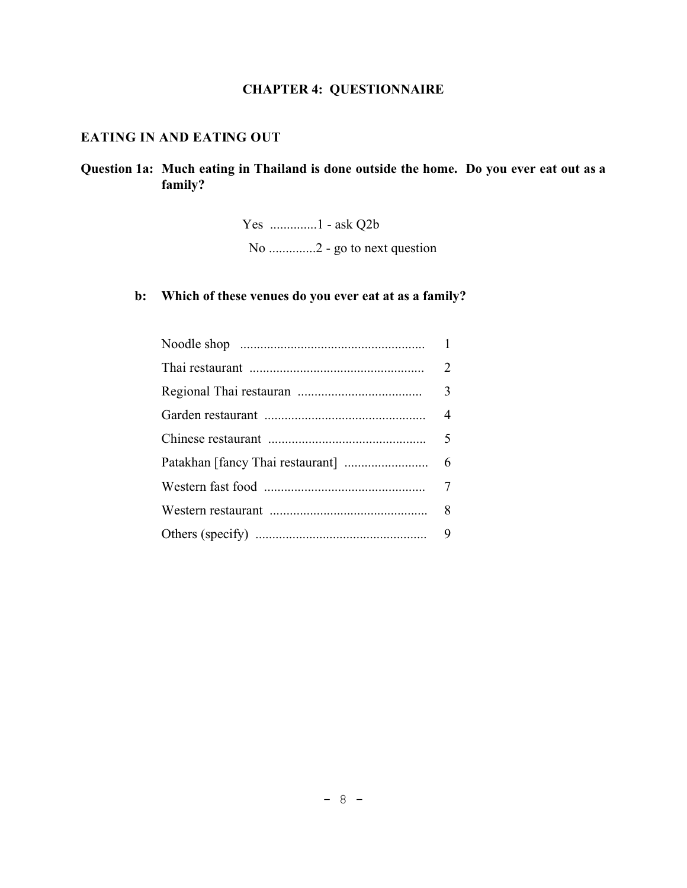# **CHAPTER 4: QUESTIONNAIRE**

## **EATING IN AND EATING OUT**

## **Question 1a: Much eating in Thailand is done outside the home. Do you ever eat out as a family?**

Yes ..............1 - ask Q2b No ..............2 - go to next question

#### **b: Which of these venues do you ever eat at as a family?**

| $\overline{2}$ |
|----------------|
|                |
|                |
|                |
|                |
|                |
|                |
|                |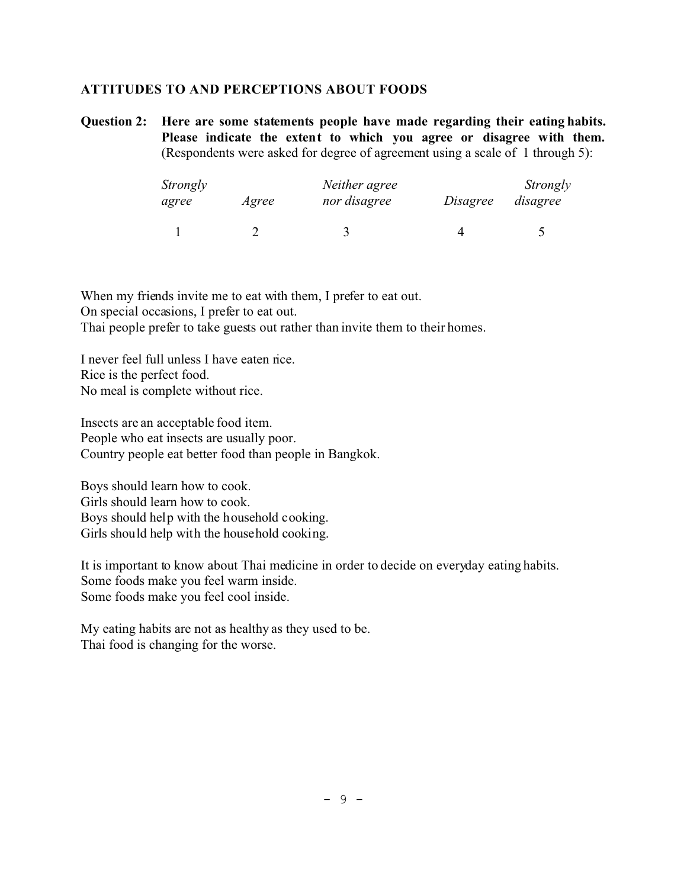#### **ATTITUDES TO AND PERCEPTIONS ABOUT FOODS**

**Question 2: Here are some statements people have made regarding their eating habits. Please indicate the extent to which you agree or disagree with them.** (Respondents were asked for degree of agreement using a scale of 1 through 5):

| Strongly |       | Neither agree |          | Strongly |  |  |
|----------|-------|---------------|----------|----------|--|--|
| agree    | Agree | nor disagree  | Disagree | disagree |  |  |
|          |       |               |          |          |  |  |

When my friends invite me to eat with them, I prefer to eat out. On special occasions, I prefer to eat out. Thai people prefer to take guests out rather than invite them to their homes.

I never feel full unless I have eaten rice. Rice is the perfect food. No meal is complete without rice.

Insects are an acceptable food item. People who eat insects are usually poor. Country people eat better food than people in Bangkok.

Boys should learn how to cook. Girls should learn how to cook. Boys should help with the household cooking. Girls should help with the household cooking.

It is important to know about Thai medicine in order to decide on everyday eating habits. Some foods make you feel warm inside. Some foods make you feel cool inside.

My eating habits are not as healthy as they used to be. Thai food is changing for the worse.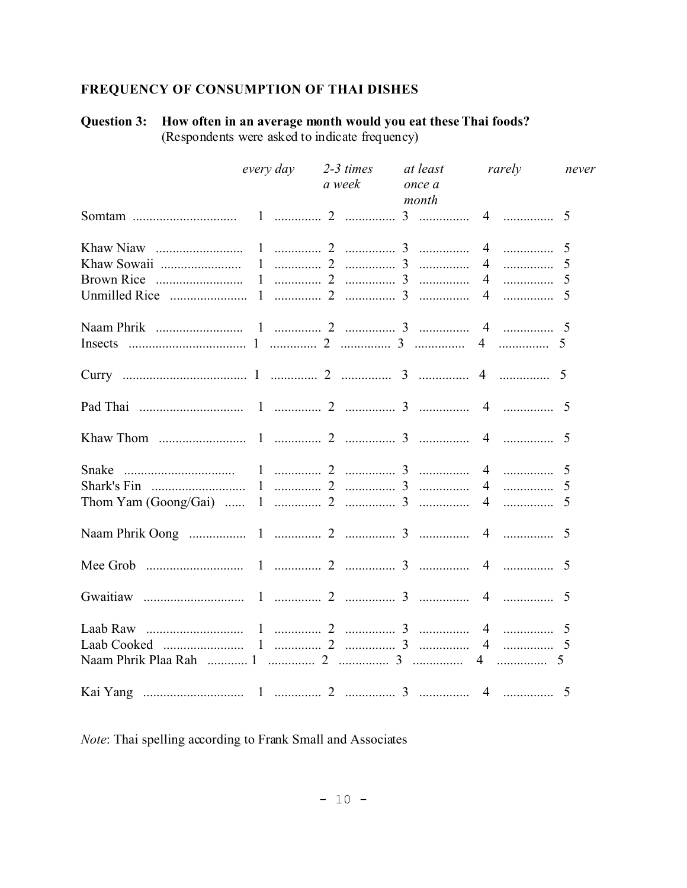# FREQUENCY OF CONSUMPTION OF THAI DISHES

### Question 3: How often in an average month would you eat these Thai foods? (Respondents were asked to indicate frequency)

|          | every day | $2-3$ times | at least        | rarely | never |
|----------|-----------|-------------|-----------------|--------|-------|
|          |           | a week      | once a<br>month |        |       |
|          |           |             |                 |        |       |
|          |           |             |                 |        |       |
|          |           |             |                 | 4      | 5     |
|          |           |             |                 |        |       |
|          |           |             |                 |        |       |
|          |           |             |                 |        |       |
|          |           |             |                 |        |       |
|          |           |             |                 |        |       |
|          |           |             |                 |        |       |
|          |           |             |                 |        |       |
| Snake    |           |             |                 |        |       |
|          |           |             |                 |        |       |
|          |           |             |                 | 4      |       |
|          |           |             |                 |        |       |
|          |           |             |                 |        |       |
|          |           |             |                 |        |       |
| Laab Raw |           |             |                 |        |       |
|          |           |             |                 |        |       |
|          |           |             |                 |        |       |
|          |           |             |                 |        |       |

Note: Thai spelling according to Frank Small and Associates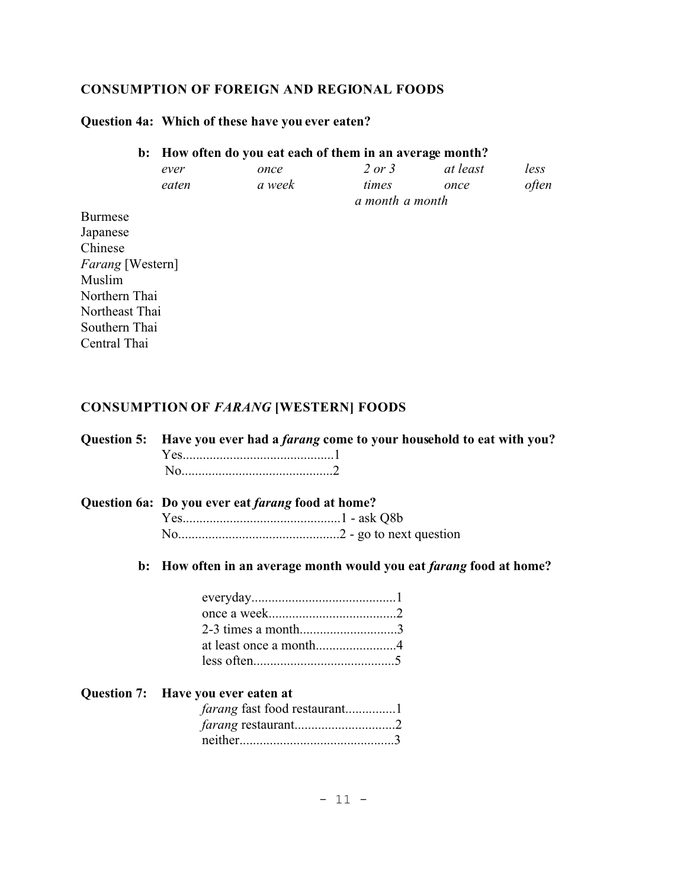#### **CONSUMPTION OF FOREIGN AND REGIONAL FOODS**

## **Question 4a: Which of these have you ever eaten?**

#### **b: How often do you eat each of them in an average month?**

| ever  | once   | 2 or 3          | at least | less         |
|-------|--------|-----------------|----------|--------------|
| eaten | a week | times           | once     | <i>often</i> |
|       |        | a month a month |          |              |

Burmese Japanese Chinese *Farang* [Western] Muslim Northern Thai Northeast Thai Southern Thai Central Thai

#### **CONSUMPTION OF** *FARANG* **[WESTERN] FOODS**

|                | Question 5: Have you ever had a <i>farang</i> come to your household to eat with you? |
|----------------|---------------------------------------------------------------------------------------|
|                | Question 6a: Do you ever eat <i>farang</i> food at home?                              |
|                |                                                                                       |
|                |                                                                                       |
| $\mathbf{b}$ : | How often in an average month would you eat <i>farang</i> food at home?               |
|                |                                                                                       |
|                |                                                                                       |
|                | 2-3 times a month3                                                                    |
|                |                                                                                       |
|                |                                                                                       |
|                | Question 7: Have you ever eaten at                                                    |
|                |                                                                                       |
|                |                                                                                       |
|                |                                                                                       |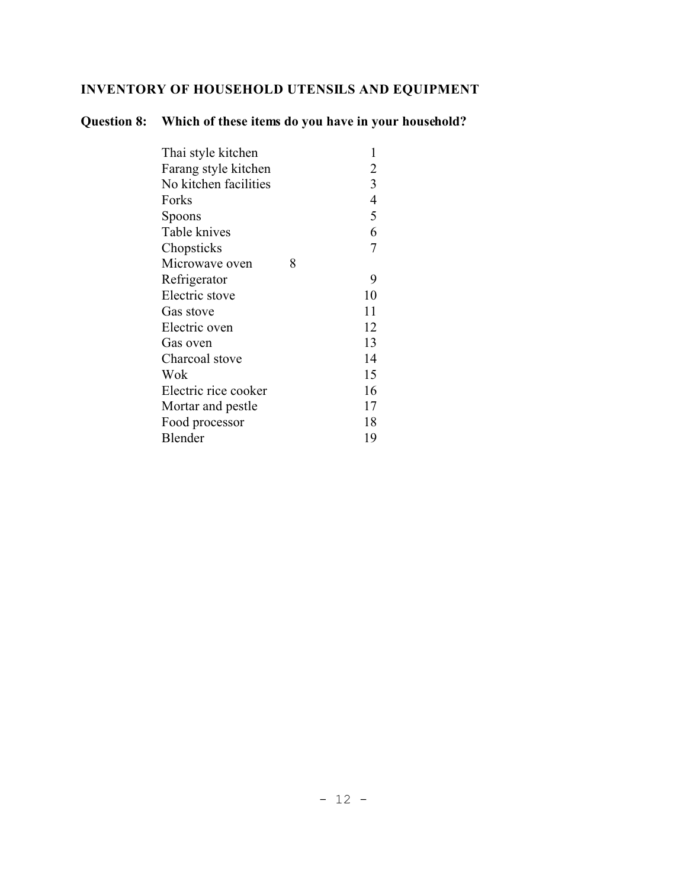# **INVENTORY OF HOUSEHOLD UTENSILS AND EQUIPMENT**

# **Question 8: Which of these items do you have in your household?**

| Thai style kitchen    |   | 1              |  |
|-----------------------|---|----------------|--|
| Farang style kitchen  |   | $\overline{2}$ |  |
| No kitchen facilities |   | $\overline{3}$ |  |
| Forks                 |   | $\overline{4}$ |  |
| Spoons                |   | 5              |  |
| Table knives          |   | 6              |  |
| Chopsticks            |   | $\overline{7}$ |  |
| Microwave oven        | 8 |                |  |
| Refrigerator          |   | 9              |  |
| Electric stove        |   | 10             |  |
| Gas stove             |   | 11             |  |
| Electric oven         |   | 12             |  |
| Gas oven              |   | 13             |  |
| Charcoal stove        |   | 14             |  |
| Wok                   |   | 15             |  |
| Electric rice cooker  |   | 16             |  |
| Mortar and pestle     |   | 17             |  |
| Food processor        |   | 18             |  |
| Blender               |   | 19             |  |
|                       |   |                |  |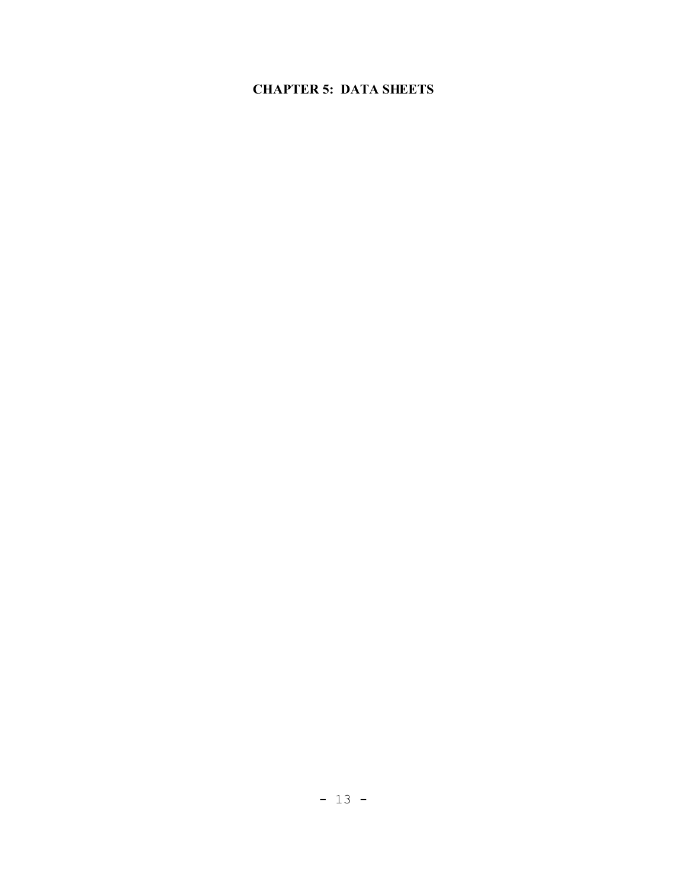# **CHAPTER 5: DATA SHEETS**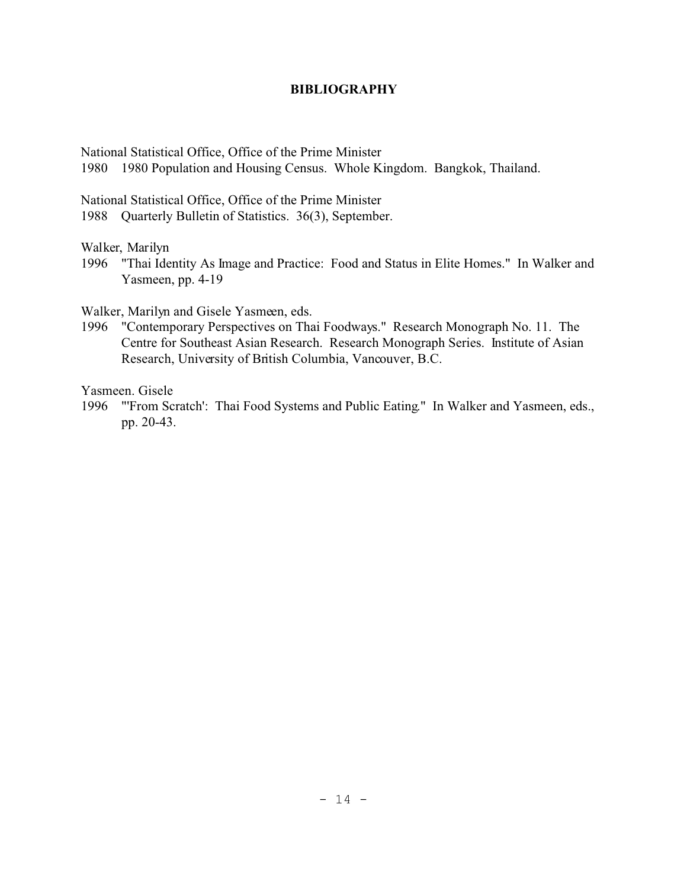## **BIBLIOGRAPHY**

National Statistical Office, Office of the Prime Minister

1980 1980 Population and Housing Census. Whole Kingdom. Bangkok, Thailand.

National Statistical Office, Office of the Prime Minister

1988 Quarterly Bulletin of Statistics. 36(3), September.

Walker, Marilyn

1996 "Thai Identity As Image and Practice: Food and Status in Elite Homes." In Walker and Yasmeen, pp. 4-19

Walker, Marilyn and Gisele Yasmeen, eds.

1996 "Contemporary Perspectives on Thai Foodways." Research Monograph No. 11. The Centre for Southeast Asian Research. Research Monograph Series. Institute of Asian Research, University of British Columbia, Vancouver, B.C.

Yasmeen. Gisele

1996 "'From Scratch': Thai Food Systems and Public Eating." In Walker and Yasmeen, eds., pp. 20-43.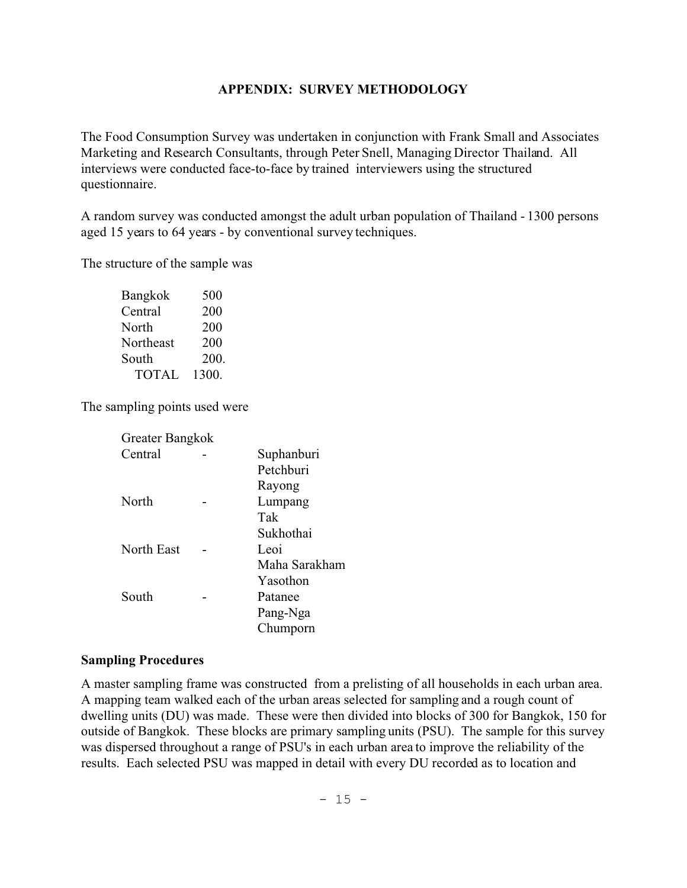## **APPENDIX: SURVEY METHODOLOGY**

The Food Consumption Survey was undertaken in conjunction with Frank Small and Associates Marketing and Research Consultants, through Peter Snell, Managing Director Thailand. All interviews were conducted face-to-face by trained interviewers using the structured questionnaire.

A random survey was conducted amongst the adult urban population of Thailand - 1300 persons aged 15 years to 64 years - by conventional survey techniques.

The structure of the sample was

| Bangkok      | 500   |
|--------------|-------|
| Central      | 200   |
| North        | 200   |
| Northeast    | 200   |
| South        | 200.  |
| <b>TOTAL</b> | 1300. |

The sampling points used were

| Greater Bangkok |               |
|-----------------|---------------|
| Central         | Suphanburi    |
|                 | Petchburi     |
|                 | Rayong        |
| North           | Lumpang       |
|                 | Tak           |
|                 | Sukhothai     |
| North East      | Leoi          |
|                 | Maha Sarakham |
|                 | Yasothon      |
| South           | Patanee       |
|                 | Pang-Nga      |
|                 | Chumporn      |

### **Sampling Procedures**

A master sampling frame was constructed from a prelisting of all households in each urban area. A mapping team walked each of the urban areas selected for sampling and a rough count of dwelling units (DU) was made. These were then divided into blocks of 300 for Bangkok, 150 for outside of Bangkok. These blocks are primary sampling units (PSU). The sample for this survey was dispersed throughout a range of PSU's in each urban area to improve the reliability of the results. Each selected PSU was mapped in detail with every DU recorded as to location and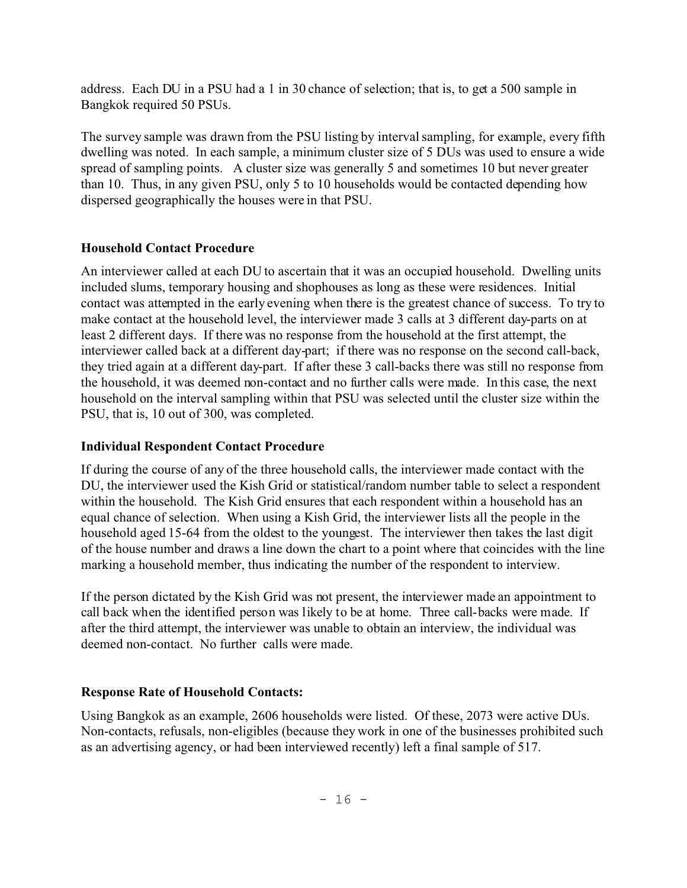address. Each DU in a PSU had a 1 in 30 chance of selection; that is, to get a 500 sample in Bangkok required 50 PSUs.

The survey sample was drawn from the PSU listing by interval sampling, for example, every fifth dwelling was noted. In each sample, a minimum cluster size of 5 DUs was used to ensure a wide spread of sampling points. A cluster size was generally 5 and sometimes 10 but never greater than 10. Thus, in any given PSU, only 5 to 10 households would be contacted depending how dispersed geographically the houses were in that PSU.

# **Household Contact Procedure**

An interviewer called at each DU to ascertain that it was an occupied household. Dwelling units included slums, temporary housing and shophouses as long as these were residences. Initial contact was attempted in the early evening when there is the greatest chance of success. To try to make contact at the household level, the interviewer made 3 calls at 3 different day-parts on at least 2 different days. If there was no response from the household at the first attempt, the interviewer called back at a different day-part; if there was no response on the second call-back, they tried again at a different day-part. If after these 3 call-backs there was still no response from the household, it was deemed non-contact and no further calls were made. In this case, the next household on the interval sampling within that PSU was selected until the cluster size within the PSU, that is, 10 out of 300, was completed.

# **Individual Respondent Contact Procedure**

If during the course of any of the three household calls, the interviewer made contact with the DU, the interviewer used the Kish Grid or statistical/random number table to select a respondent within the household. The Kish Grid ensures that each respondent within a household has an equal chance of selection. When using a Kish Grid, the interviewer lists all the people in the household aged 15-64 from the oldest to the youngest. The interviewer then takes the last digit of the house number and draws a line down the chart to a point where that coincides with the line marking a household member, thus indicating the number of the respondent to interview.

If the person dictated by the Kish Grid was not present, the interviewer made an appointment to call back when the identified person was likely to be at home. Three call-backs were made. If after the third attempt, the interviewer was unable to obtain an interview, the individual was deemed non-contact. No further calls were made.

# **Response Rate of Household Contacts:**

Using Bangkok as an example, 2606 households were listed. Of these, 2073 were active DUs. Non-contacts, refusals, non-eligibles (because they work in one of the businesses prohibited such as an advertising agency, or had been interviewed recently) left a final sample of 517.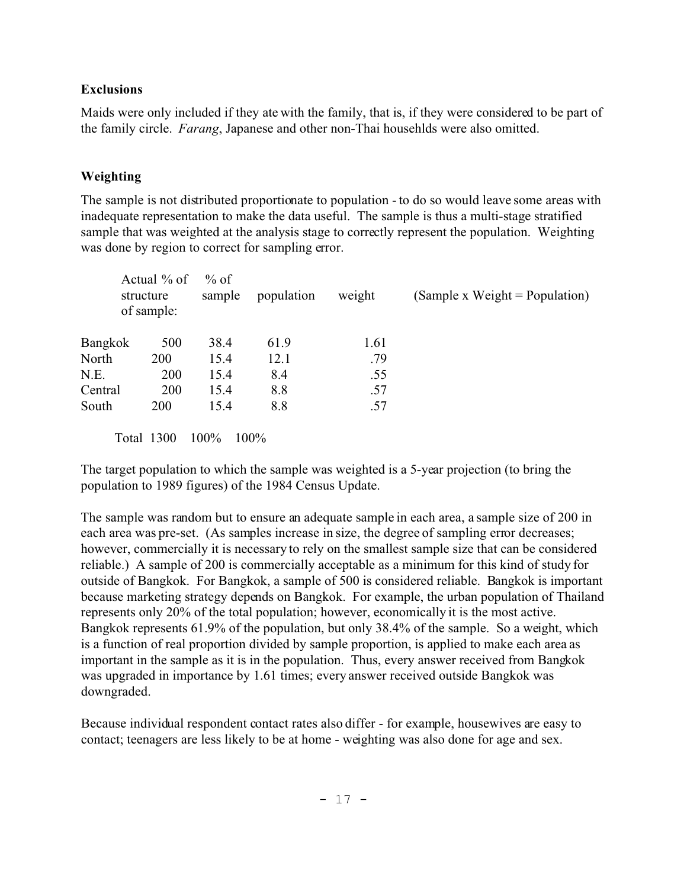## **Exclusions**

Maids were only included if they ate with the family, that is, if they were considered to be part of the family circle. *Farang*, Japanese and other non-Thai househlds were also omitted.

# **Weighting**

The sample is not distributed proportionate to population - to do so would leave some areas with inadequate representation to make the data useful. The sample is thus a multi-stage stratified sample that was weighted at the analysis stage to correctly represent the population. Weighting was done by region to correct for sampling error.

|      | population | weight | (Sample x Weight = Population) |
|------|------------|--------|--------------------------------|
| 38.4 | 61.9       | 1.61   |                                |
| 15.4 | 12.1       | .79    |                                |
| 15.4 | 8.4        | .55    |                                |
| 15.4 | 8.8        | .57    |                                |
| 15.4 | 8.8        | .57    |                                |
|      | sample     |        |                                |

Total 1300 100% 100%

The target population to which the sample was weighted is a 5-year projection (to bring the population to 1989 figures) of the 1984 Census Update.

The sample was random but to ensure an adequate sample in each area, a sample size of 200 in each area was pre-set. (As samples increase in size, the degree of sampling error decreases; however, commercially it is necessary to rely on the smallest sample size that can be considered reliable.) A sample of 200 is commercially acceptable as a minimum for this kind of study for outside of Bangkok. For Bangkok, a sample of 500 is considered reliable. Bangkok is important because marketing strategy depends on Bangkok. For example, the urban population of Thailand represents only 20% of the total population; however, economically it is the most active. Bangkok represents 61.9% of the population, but only 38.4% of the sample. So a weight, which is a function of real proportion divided by sample proportion, is applied to make each area as important in the sample as it is in the population. Thus, every answer received from Bangkok was upgraded in importance by 1.61 times; every answer received outside Bangkok was downgraded.

Because individual respondent contact rates also differ - for example, housewives are easy to contact; teenagers are less likely to be at home - weighting was also done for age and sex.